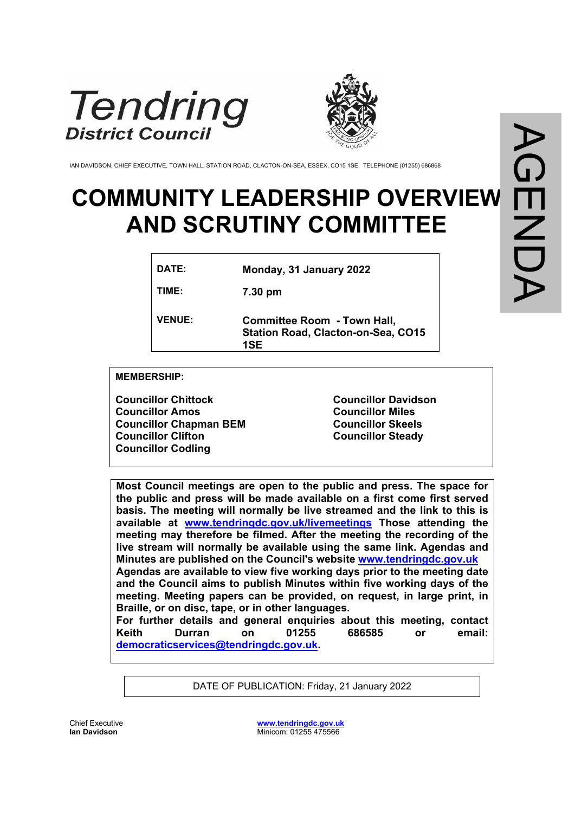



IAN DAVIDSON, CHIEF EXECUTIVE, TOWN HALL, STATION ROAD, CLACTON-ON-SEA, ESSEX, CO15 1SE. TELEPHONE (01255) 686868

## **COMMUNITY LEADERSHIP OVERVIEW AND SCRUTINY COMMITTEE**

| DATE:         | Monday, 31 January 2022                                                                |
|---------------|----------------------------------------------------------------------------------------|
| TIME:         | 7.30 pm                                                                                |
| <b>VENUE:</b> | <b>Committee Room - Town Hall,</b><br><b>Station Road, Clacton-on-Sea, CO15</b><br>1SE |

**MEMBERSHIP:**

**Councillor Chittock Councillor Amos Councillor Chapman BEM Councillor Clifton Councillor Codling**

**Councillor Davidson Councillor Miles Councillor Skeels Councillor Steady**

**Most Council meetings are open to the public and press. The space for the public and press will be made available on a first come first served basis. The meeting will normally be live streamed and the link to this is available at [www.tendringdc.gov.uk/livemeetings](http://www.tendringdc.gov.uk/livemeetings) Those attending the meeting may therefore be filmed. After the meeting the recording of the live stream will normally be available using the same link. Agendas and Minutes are published on the Council's website [www.tendringdc.gov.uk](http://www.tendringdc.gov.uk/) Agendas are available to view five working days prior to the meeting date and the Council aims to publish Minutes within five working days of the meeting. Meeting papers can be provided, on request, in large print, in Braille, or on disc, tape, or in other languages. For further details and general enquiries about this meeting, contact Keith Durran on 01255 686585 or email: [democraticservices@tendringdc.gov.uk](mailto:democraticservices@tendringdc.gov.uk).**

DATE OF PUBLICATION: Friday, 21 January 2022

Chief Executive **Ian Davidson** 

**[www.tendringdc.gov.uk](http://www.tendringdc.gov.uk/)** Minicom: 01255 475566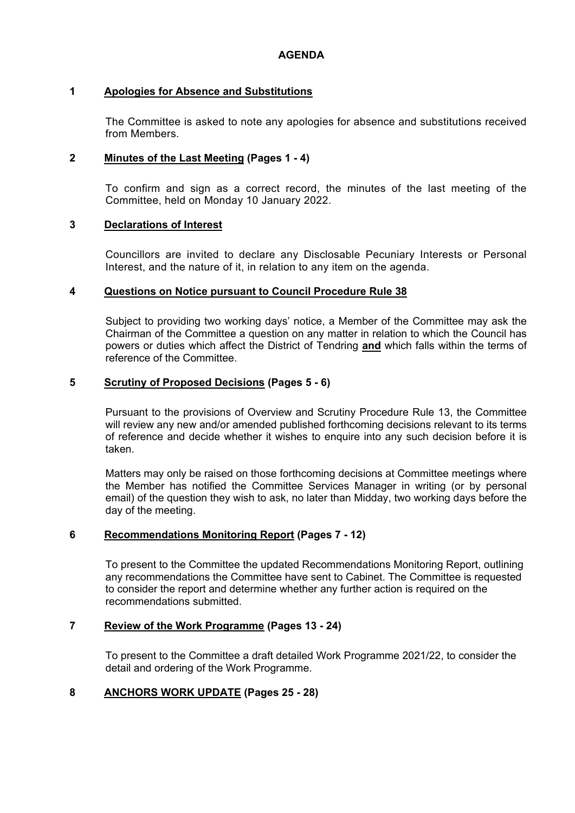## **1 Apologies for Absence and Substitutions**

The Committee is asked to note any apologies for absence and substitutions received from Members.

## **2 Minutes of the Last Meeting (Pages 1 - 4)**

To confirm and sign as a correct record, the minutes of the last meeting of the Committee, held on Monday 10 January 2022.

#### **3 Declarations of Interest**

Councillors are invited to declare any Disclosable Pecuniary Interests or Personal Interest, and the nature of it, in relation to any item on the agenda.

## **4 Questions on Notice pursuant to Council Procedure Rule 38**

Subject to providing two working days' notice, a Member of the Committee may ask the Chairman of the Committee a question on any matter in relation to which the Council has powers or duties which affect the District of Tendring **and** which falls within the terms of reference of the Committee.

## **5 Scrutiny of Proposed Decisions (Pages 5 - 6)**

Pursuant to the provisions of Overview and Scrutiny Procedure Rule 13, the Committee will review any new and/or amended published forthcoming decisions relevant to its terms of reference and decide whether it wishes to enquire into any such decision before it is taken.

Matters may only be raised on those forthcoming decisions at Committee meetings where the Member has notified the Committee Services Manager in writing (or by personal email) of the question they wish to ask, no later than Midday, two working days before the day of the meeting.

## **6 Recommendations Monitoring Report (Pages 7 - 12)**

To present to the Committee the updated Recommendations Monitoring Report, outlining any recommendations the Committee have sent to Cabinet. The Committee is requested to consider the report and determine whether any further action is required on the recommendations submitted.

## **7 Review of the Work Programme (Pages 13 - 24)**

To present to the Committee a draft detailed Work Programme 2021/22, to consider the detail and ordering of the Work Programme.

## **8 ANCHORS WORK UPDATE (Pages 25 - 28)**